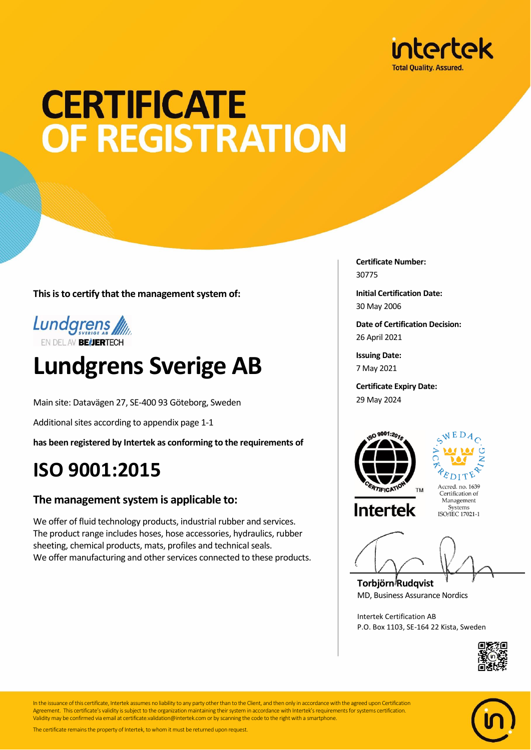

## **CERTIFICATE** OF REGISTRATION

**This is to certify that the management system of:**



### **Lundgrens Sverige AB**

Main site: Datavägen 27, SE-400 93 Göteborg, Sweden

Additional sites according to appendix page 1-1

**has been registered by Intertek as conforming to the requirements of**

### **ISO 9001:2015**

#### **The management system is applicable to:**

We offer of fluid technology products, industrial rubber and services. The product range includes hoses, hose accessories, hydraulics, rubber sheeting, chemical products, mats, profiles and technical seals. We offer manufacturing and other services connected to these products. **Certificate Number:** 30775

**Initial Certification Date:** 30 May 2006

**Date of Certification Decision:** 26 April 2021

**Issuing Date:** 7 May 2021

**Certificate Expiry Date:** 29 May 2024





Management Systems<br>ISO/IEC 17021-1

**Torbjörn Rudqvist** MD, Business Assurance Nordics

Intertek Certification AB P.O. Box 1103, SE-164 22 Kista, Sweden





In the issuance of this certificate, Intertek assumes no liability to any party other than to the Client, and then only in accordance with the agreed upon Certification Agreement. This certificate's validity is subject to the organization maintaining their system in accordance with Intertek's requirements for systems certification. Validity may be confirmed via email at certificate.validation@intertek.com or by scanning the code to the right with a smartphone.

The certificate remains the property of Intertek, to whom it must be returned upon request.